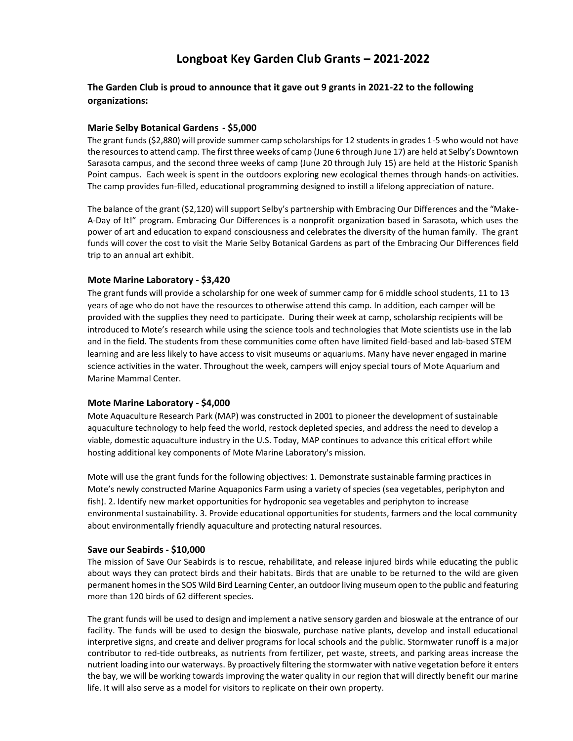# **Longboat Key Garden Club Grants – 2021-2022**

## **The Garden Club is proud to announce that it gave out 9 grants in 2021-22 to the following organizations:**

### **Marie Selby Botanical Gardens - \$5,000**

The grant funds (\$2,880) will provide summer camp scholarships for 12 students in grades 1-5 who would not have the resources to attend camp. The first three weeks of camp (June 6 through June 17) are held at Selby's Downtown Sarasota campus, and the second three weeks of camp (June 20 through July 15) are held at the Historic Spanish Point campus. Each week is spent in the outdoors exploring new ecological themes through hands-on activities. The camp provides fun-filled, educational programming designed to instill a lifelong appreciation of nature.

The balance of the grant (\$2,120) will support Selby's partnership with Embracing Our Differences and the "Make-A-Day of It!" program. Embracing Our Differences is a nonprofit organization based in Sarasota, which uses the power of art and education to expand consciousness and celebrates the diversity of the human family. The grant funds will cover the cost to visit the Marie Selby Botanical Gardens as part of the Embracing Our Differences field trip to an annual art exhibit.

#### **Mote Marine Laboratory - \$3,420**

The grant funds will provide a scholarship for one week of summer camp for 6 middle school students, 11 to 13 years of age who do not have the resources to otherwise attend this camp. In addition, each camper will be provided with the supplies they need to participate. During their week at camp, scholarship recipients will be introduced to Mote's research while using the science tools and technologies that Mote scientists use in the lab and in the field. The students from these communities come often have limited field-based and lab-based STEM learning and are less likely to have access to visit museums or aquariums. Many have never engaged in marine science activities in the water. Throughout the week, campers will enjoy special tours of Mote Aquarium and Marine Mammal Center.

### **Mote Marine Laboratory - \$4,000**

Mote Aquaculture Research Park (MAP) was constructed in 2001 to pioneer the development of sustainable aquaculture technology to help feed the world, restock depleted species, and address the need to develop a viable, domestic aquaculture industry in the U.S. Today, MAP continues to advance this critical effort while hosting additional key components of Mote Marine Laboratory's mission.

Mote will use the grant funds for the following objectives: 1. Demonstrate sustainable farming practices in Mote's newly constructed Marine Aquaponics Farm using a variety of species (sea vegetables, periphyton and fish). 2. Identify new market opportunities for hydroponic sea vegetables and periphyton to increase environmental sustainability. 3. Provide educational opportunities for students, farmers and the local community about environmentally friendly aquaculture and protecting natural resources.

#### **Save our Seabirds - \$10,000**

The mission of Save Our Seabirds is to rescue, rehabilitate, and release injured birds while educating the public about ways they can protect birds and their habitats. Birds that are unable to be returned to the wild are given permanent homes in the SOS Wild Bird Learning Center, an outdoor living museum open to the public and featuring more than 120 birds of 62 different species.

The grant funds will be used to design and implement a native sensory garden and bioswale at the entrance of our facility. The funds will be used to design the bioswale, purchase native plants, develop and install educational interpretive signs, and create and deliver programs for local schools and the public. Stormwater runoff is a major contributor to red-tide outbreaks, as nutrients from fertilizer, pet waste, streets, and parking areas increase the nutrient loading into our waterways. By proactively filtering the stormwater with native vegetation before it enters the bay, we will be working towards improving the water quality in our region that will directly benefit our marine life. It will also serve as a model for visitors to replicate on their own property.